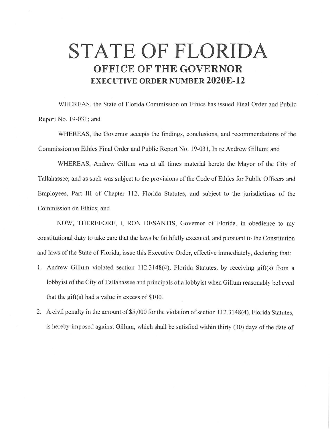## **STATE OF FLORIDA OFFICE OF THE GOVERNOR EXECUTIVE ORDER NUMBER 2020E-12**

WHEREAS, the State of Florida Commission on Ethics has issued Final Order and Public Report No. 19-031; and

WHEREAS, the Governor accepts the findings, conclusions, and recommendations of the Commission on Ethics Final Order and Public Report No. 19-031 , In re Andrew Gillum; and

WHEREAS, Andrew Gillum was at all times material hereto the Mayor of the City of Tallahassee, and as such was subject to the provisions of the Code of Ethics for Public Officers and Employees, Part III of Chapter 112, Florida Statutes, and subject to the jurisdictions of the Commission on Ethics; and

NOW, THEREFORE, I, RON DESANTIS, Governor of Florida, in obedience to my constitutional duty to take care that the laws be faithfully executed, and pursuant to the Constitution and laws of the State of Florida, issue this Executive Order, effective immediately, declaring that:

- I. Andrew Gillum violated section 112.3148(4), Florida Statutes, by receiving gift(s) from a lobbyist of the City of Tallahassee and principals of a lobbyist when Gillum reasonably believed that the gift(s) had a value in excess of  $$100$ .
- 2. A civil penalty in the amount of \$5,000 for the violation of section 112.3148(4), Florida Statutes, is hereby imposed against Gillum, which shall be satisfied within thirty (30) days of the date of